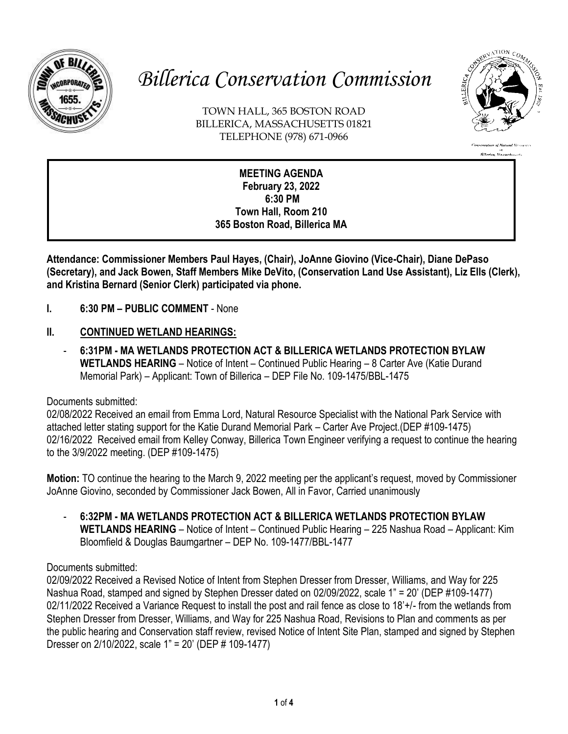

# *Billerica Conservation Commission*

TOWN HALL, 365 BOSTON ROAD BILLERICA, MASSACHUSETTS 01821 TELEPHONE (978) 671-0966



ation of Natural Resou n<br>Billerica, Massachusetts

#### **MEETING AGENDA February 23, 2022 6:30 PM Town Hall, Room 210 365 Boston Road, Billerica MA**

**Attendance: Commissioner Members Paul Hayes, (Chair), JoAnne Giovino (Vice-Chair), Diane DePaso (Secretary), and Jack Bowen, Staff Members Mike DeVito, (Conservation Land Use Assistant), Liz Ells (Clerk), and Kristina Bernard (Senior Clerk) participated via phone.**

- **I. 6:30 PM – PUBLIC COMMENT**  None
- **II. CONTINUED WETLAND HEARINGS:**
	- **6:31PM - MA WETLANDS PROTECTION ACT & BILLERICA WETLANDS PROTECTION BYLAW WETLANDS HEARING** – Notice of Intent – Continued Public Hearing – 8 Carter Ave (Katie Durand Memorial Park) – Applicant: Town of Billerica – DEP File No. 109-1475/BBL-1475

# Documents submitted:

02/08/2022 Received an email from Emma Lord, Natural Resource Specialist with the National Park Service with attached letter stating support for the Katie Durand Memorial Park – Carter Ave Project.(DEP #109-1475) 02/16/2022 Received email from Kelley Conway, Billerica Town Engineer verifying a request to continue the hearing to the 3/9/2022 meeting. (DEP #109-1475)

**Motion:** TO continue the hearing to the March 9, 2022 meeting per the applicant's request, moved by Commissioner JoAnne Giovino, seconded by Commissioner Jack Bowen, All in Favor, Carried unanimously

- **6:32PM - MA WETLANDS PROTECTION ACT & BILLERICA WETLANDS PROTECTION BYLAW WETLANDS HEARING** – Notice of Intent – Continued Public Hearing – 225 Nashua Road – Applicant: Kim Bloomfield & Douglas Baumgartner – DEP No. 109-1477/BBL-1477

# Documents submitted:

02/09/2022 Received a Revised Notice of Intent from Stephen Dresser from Dresser, Williams, and Way for 225 Nashua Road, stamped and signed by Stephen Dresser dated on 02/09/2022, scale 1" = 20' (DEP #109-1477) 02/11/2022 Received a Variance Request to install the post and rail fence as close to 18'+/- from the wetlands from Stephen Dresser from Dresser, Williams, and Way for 225 Nashua Road, Revisions to Plan and comments as per the public hearing and Conservation staff review, revised Notice of Intent Site Plan, stamped and signed by Stephen Dresser on 2/10/2022, scale 1" = 20' (DEP # 109-1477)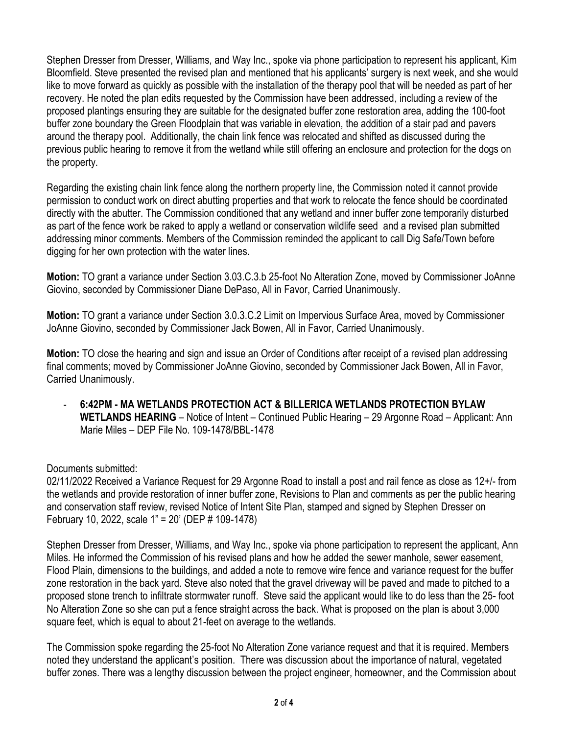Stephen Dresser from Dresser, Williams, and Way Inc., spoke via phone participation to represent his applicant, Kim Bloomfield. Steve presented the revised plan and mentioned that his applicants' surgery is next week, and she would like to move forward as quickly as possible with the installation of the therapy pool that will be needed as part of her recovery. He noted the plan edits requested by the Commission have been addressed, including a review of the proposed plantings ensuring they are suitable for the designated buffer zone restoration area, adding the 100-foot buffer zone boundary the Green Floodplain that was variable in elevation, the addition of a stair pad and pavers around the therapy pool. Additionally, the chain link fence was relocated and shifted as discussed during the previous public hearing to remove it from the wetland while still offering an enclosure and protection for the dogs on the property.

Regarding the existing chain link fence along the northern property line, the Commission noted it cannot provide permission to conduct work on direct abutting properties and that work to relocate the fence should be coordinated directly with the abutter. The Commission conditioned that any wetland and inner buffer zone temporarily disturbed as part of the fence work be raked to apply a wetland or conservation wildlife seed and a revised plan submitted addressing minor comments. Members of the Commission reminded the applicant to call Dig Safe/Town before digging for her own protection with the water lines.

**Motion:** TO grant a variance under Section 3.03.C.3.b 25-foot No Alteration Zone, moved by Commissioner JoAnne Giovino, seconded by Commissioner Diane DePaso, All in Favor, Carried Unanimously.

**Motion:** TO grant a variance under Section 3.0.3.C.2 Limit on Impervious Surface Area, moved by Commissioner JoAnne Giovino, seconded by Commissioner Jack Bowen, All in Favor, Carried Unanimously.

**Motion:** TO close the hearing and sign and issue an Order of Conditions after receipt of a revised plan addressing final comments; moved by Commissioner JoAnne Giovino, seconded by Commissioner Jack Bowen, All in Favor, Carried Unanimously.

- **6:42PM - MA WETLANDS PROTECTION ACT & BILLERICA WETLANDS PROTECTION BYLAW WETLANDS HEARING** – Notice of Intent – Continued Public Hearing – 29 Argonne Road – Applicant: Ann Marie Miles – DEP File No. 109-1478/BBL-1478

Documents submitted:

02/11/2022 Received a Variance Request for 29 Argonne Road to install a post and rail fence as close as 12+/- from the wetlands and provide restoration of inner buffer zone, Revisions to Plan and comments as per the public hearing and conservation staff review, revised Notice of Intent Site Plan, stamped and signed by Stephen Dresser on February 10, 2022, scale 1" = 20' (DEP # 109-1478)

Stephen Dresser from Dresser, Williams, and Way Inc., spoke via phone participation to represent the applicant, Ann Miles. He informed the Commission of his revised plans and how he added the sewer manhole, sewer easement, Flood Plain, dimensions to the buildings, and added a note to remove wire fence and variance request for the buffer zone restoration in the back yard. Steve also noted that the gravel driveway will be paved and made to pitched to a proposed stone trench to infiltrate stormwater runoff. Steve said the applicant would like to do less than the 25- foot No Alteration Zone so she can put a fence straight across the back. What is proposed on the plan is about 3,000 square feet, which is equal to about 21-feet on average to the wetlands.

The Commission spoke regarding the 25-foot No Alteration Zone variance request and that it is required. Members noted they understand the applicant's position. There was discussion about the importance of natural, vegetated buffer zones. There was a lengthy discussion between the project engineer, homeowner, and the Commission about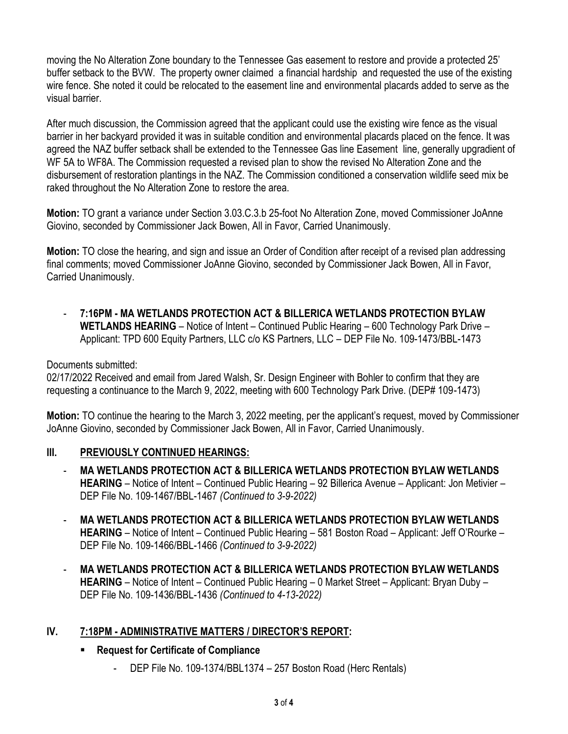moving the No Alteration Zone boundary to the Tennessee Gas easement to restore and provide a protected 25' buffer setback to the BVW. The property owner claimed a financial hardship and requested the use of the existing wire fence. She noted it could be relocated to the easement line and environmental placards added to serve as the visual barrier.

After much discussion, the Commission agreed that the applicant could use the existing wire fence as the visual barrier in her backyard provided it was in suitable condition and environmental placards placed on the fence. It was agreed the NAZ buffer setback shall be extended to the Tennessee Gas line Easement line, generally upgradient of WF 5A to WF8A. The Commission requested a revised plan to show the revised No Alteration Zone and the disbursement of restoration plantings in the NAZ. The Commission conditioned a conservation wildlife seed mix be raked throughout the No Alteration Zone to restore the area.

**Motion:** TO grant a variance under Section 3.03.C.3.b 25-foot No Alteration Zone, moved Commissioner JoAnne Giovino, seconded by Commissioner Jack Bowen, All in Favor, Carried Unanimously.

**Motion:** TO close the hearing, and sign and issue an Order of Condition after receipt of a revised plan addressing final comments; moved Commissioner JoAnne Giovino, seconded by Commissioner Jack Bowen, All in Favor, Carried Unanimously.

- **7:16PM - MA WETLANDS PROTECTION ACT & BILLERICA WETLANDS PROTECTION BYLAW WETLANDS HEARING** – Notice of Intent – Continued Public Hearing – 600 Technology Park Drive – Applicant: TPD 600 Equity Partners, LLC c/o KS Partners, LLC – DEP File No. 109-1473/BBL-1473

#### Documents submitted:

02/17/2022 Received and email from Jared Walsh, Sr. Design Engineer with Bohler to confirm that they are requesting a continuance to the March 9, 2022, meeting with 600 Technology Park Drive. (DEP# 109-1473)

**Motion:** TO continue the hearing to the March 3, 2022 meeting, per the applicant's request, moved by Commissioner JoAnne Giovino, seconded by Commissioner Jack Bowen, All in Favor, Carried Unanimously.

#### **III. PREVIOUSLY CONTINUED HEARINGS:**

- **MA WETLANDS PROTECTION ACT & BILLERICA WETLANDS PROTECTION BYLAW WETLANDS HEARING** – Notice of Intent – Continued Public Hearing – 92 Billerica Avenue – Applicant: Jon Metivier – DEP File No. 109-1467/BBL-1467 *(Continued to 3-9-2022)*
- **MA WETLANDS PROTECTION ACT & BILLERICA WETLANDS PROTECTION BYLAW WETLANDS HEARING** – Notice of Intent – Continued Public Hearing – 581 Boston Road – Applicant: Jeff O'Rourke – DEP File No. 109-1466/BBL-1466 *(Continued to 3-9-2022)*
- **MA WETLANDS PROTECTION ACT & BILLERICA WETLANDS PROTECTION BYLAW WETLANDS HEARING** – Notice of Intent – Continued Public Hearing – 0 Market Street – Applicant: Bryan Duby – DEP File No. 109-1436/BBL-1436 *(Continued to 4-13-2022)*

## **IV. 7:18PM - ADMINISTRATIVE MATTERS / DIRECTOR'S REPORT:**

## **Request for Certificate of Compliance**

- DEP File No. 109-1374/BBL1374 – 257 Boston Road (Herc Rentals)